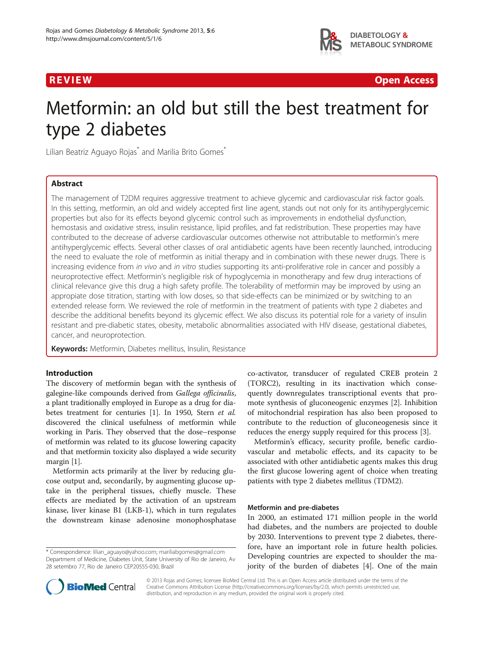



# Metformin: an old but still the best treatment for type 2 diabetes

Lilian Beatriz Aguayo Rojas<sup>\*</sup> and Marilia Brito Gomes<sup>\*</sup>

# Abstract

The management of T2DM requires aggressive treatment to achieve glycemic and cardiovascular risk factor goals. In this setting, metformin, an old and widely accepted first line agent, stands out not only for its antihyperglycemic properties but also for its effects beyond glycemic control such as improvements in endothelial dysfunction, hemostasis and oxidative stress, insulin resistance, lipid profiles, and fat redistribution. These properties may have contributed to the decrease of adverse cardiovascular outcomes otherwise not attributable to metformin's mere antihyperglycemic effects. Several other classes of oral antidiabetic agents have been recently launched, introducing the need to evaluate the role of metformin as initial therapy and in combination with these newer drugs. There is increasing evidence from in vivo and in vitro studies supporting its anti-proliferative role in cancer and possibly a neuroprotective effect. Metformin's negligible risk of hypoglycemia in monotherapy and few drug interactions of clinical relevance give this drug a high safety profile. The tolerability of metformin may be improved by using an appropiate dose titration, starting with low doses, so that side-effects can be minimized or by switching to an extended release form. We reviewed the role of metformin in the treatment of patients with type 2 diabetes and describe the additional benefits beyond its glycemic effect. We also discuss its potential role for a variety of insulin resistant and pre-diabetic states, obesity, metabolic abnormalities associated with HIV disease, gestational diabetes, cancer, and neuroprotection.

Keywords: Metformin, Diabetes mellitus, Insulin, Resistance

# Introduction

The discovery of metformin began with the synthesis of galegine-like compounds derived from Gallega officinalis, a plant traditionally employed in Europe as a drug for diabetes treatment for centuries [\[1](#page-10-0)]. In 1950, Stern et al. discovered the clinical usefulness of metformin while working in Paris. They observed that the dose–response of metformin was related to its glucose lowering capacity and that metformin toxicity also displayed a wide security margin [[1\]](#page-10-0).

Metformin acts primarily at the liver by reducing glucose output and, secondarily, by augmenting glucose uptake in the peripheral tissues, chiefly muscle. These effects are mediated by the activation of an upstream kinase, liver kinase B1 (LKB-1), which in turn regulates the downstream kinase adenosine monophosphatase

co-activator, transducer of regulated CREB protein 2 (TORC2), resulting in its inactivation which consequently downregulates transcriptional events that promote synthesis of gluconeogenic enzymes [\[2](#page-11-0)]. Inhibition of mitochondrial respiration has also been proposed to contribute to the reduction of gluconeogenesis since it reduces the energy supply required for this process [\[3](#page-11-0)].

Metformin's efficacy, security profile, benefic cardiovascular and metabolic effects, and its capacity to be associated with other antidiabetic agents makes this drug the first glucose lowering agent of choice when treating patients with type 2 diabetes mellitus (TDM2).

# Metformin and pre-diabetes

In 2000, an estimated 171 million people in the world had diabetes, and the numbers are projected to double by 2030. Interventions to prevent type 2 diabetes, therefore, have an important role in future health policies. Developing countries are expected to shoulder the majority of the burden of diabetes [[4\]](#page-11-0). One of the main



© 2013 Rojas and Gomes; licensee BioMed Central Ltd. This is an Open Access article distributed under the terms of the Creative Commons Attribution License (<http://creativecommons.org/licenses/by/2.0>), which permits unrestricted use, distribution, and reproduction in any medium, provided the original work is properly cited.

<sup>\*</sup> Correspondence: [lilian\\_aguayo@yahoo.com](mailto:lilian_aguayo@yahoo.com); [mariliabgomes@gmail.com](mailto:mariliabgomes@gmail.com) Department of Medicine, Diabetes Unit, State University of Rio de Janeiro, Av 28 setembro 77, Rio de Janeiro CEP20555-030, Brazil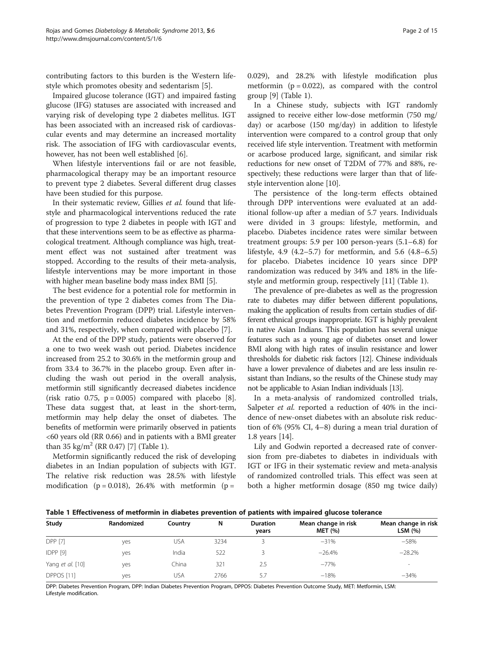contributing factors to this burden is the Western lifestyle which promotes obesity and sedentarism [\[5](#page-11-0)].

Impaired glucose tolerance (IGT) and impaired fasting glucose (IFG) statuses are associated with increased and varying risk of developing type 2 diabetes mellitus. IGT has been associated with an increased risk of cardiovascular events and may determine an increased mortality risk. The association of IFG with cardiovascular events, however, has not been well established [[6\]](#page-11-0).

When lifestyle interventions fail or are not feasible, pharmacological therapy may be an important resource to prevent type 2 diabetes. Several different drug classes have been studied for this purpose.

In their systematic review, Gillies et al. found that lifestyle and pharmacological interventions reduced the rate of progression to type 2 diabetes in people with IGT and that these interventions seem to be as effective as pharmacological treatment. Although compliance was high, treatment effect was not sustained after treatment was stopped. According to the results of their meta-analysis, lifestyle interventions may be more important in those with higher mean baseline body mass index BMI [\[5](#page-11-0)].

The best evidence for a potential role for metformin in the prevention of type 2 diabetes comes from The Diabetes Prevention Program (DPP) trial. Lifestyle intervention and metformin reduced diabetes incidence by 58% and 31%, respectively, when compared with placebo [[7\]](#page-11-0).

At the end of the DPP study, patients were observed for a one to two week wash out period. Diabetes incidence increased from 25.2 to 30.6% in the metformin group and from 33.4 to 36.7% in the placebo group. Even after including the wash out period in the overall analysis, metformin still significantly decreased diabetes incidence (risk ratio 0.75,  $p = 0.005$ ) compared with placebo [[8](#page-11-0)]. These data suggest that, at least in the short-term, metformin may help delay the onset of diabetes. The benefits of metformin were primarily observed in patients  $<60$  years old (RR 0.66) and in patients with a BMI greater than 35 kg/m<sup>2</sup> (RR 0.47) [[7\]](#page-11-0) (Table 1).

Metformin significantly reduced the risk of developing diabetes in an Indian population of subjects with IGT. The relative risk reduction was 28.5% with lifestyle modification ( $p = 0.018$ ), 26.4% with metformin ( $p =$ 

In a Chinese study, subjects with IGT randomly assigned to receive either low-dose metformin (750 mg/ day) or acarbose (150 mg/day) in addition to lifestyle intervention were compared to a control group that only received life style intervention. Treatment with metformin or acarbose produced large, significant, and similar risk reductions for new onset of T2DM of 77% and 88%, respectively; these reductions were larger than that of lifestyle intervention alone [\[10\]](#page-11-0).

The persistence of the long-term effects obtained through DPP interventions were evaluated at an additional follow-up after a median of 5.7 years. Individuals were divided in 3 groups: lifestyle, metformin, and placebo. Diabetes incidence rates were similar between treatment groups: 5.9 per 100 person-years (5.1–6.8) for lifestyle, 4.9 (4.2–5.7) for metformin, and 5.6 (4.8–6.5) for placebo. Diabetes incidence 10 years since DPP randomization was reduced by 34% and 18% in the lifestyle and metformin group, respectively [\[11\]](#page-11-0) (Table 1).

The prevalence of pre-diabetes as well as the progression rate to diabetes may differ between different populations, making the application of results from certain studies of different ethnical groups inappropriate. IGT is highly prevalent in native Asian Indians. This population has several unique features such as a young age of diabetes onset and lower BMI along with high rates of insulin resistance and lower thresholds for diabetic risk factors [\[12](#page-11-0)]. Chinese individuals have a lower prevalence of diabetes and are less insulin resistant than Indians, so the results of the Chinese study may not be applicable to Asian Indian individuals [\[13](#page-11-0)].

In a meta-analysis of randomized controlled trials, Salpeter *et al.* reported a reduction of 40% in the incidence of new-onset diabetes with an absolute risk reduction of 6% (95% CI, 4–8) during a mean trial duration of 1.8 years [\[14](#page-11-0)].

Lily and Godwin reported a decreased rate of conversion from pre-diabetes to diabetes in individuals with IGT or IFG in their systematic review and meta-analysis of randomized controlled trials. This effect was seen at both a higher metformin dosage (850 mg twice daily)

Table 1 Effectiveness of metformin in diabetes prevention of patients with impaired glucose tolerance

| Study                 | Randomized | Country | N    | <b>Duration</b><br>years | Mean change in risk<br><b>MET</b> (%) | Mean change in risk<br>LSM (%) |
|-----------------------|------------|---------|------|--------------------------|---------------------------------------|--------------------------------|
| <b>DPP</b> [7]        | yes        | USA     | 3234 |                          | $-31%$                                | $-58%$                         |
| IDPP[9]               | yes        | India   | 522  |                          | $-26.4%$                              | $-28.2%$                       |
| Yang et al. [10]      | yes        | China   | 321  | 2.5                      | $-77%$                                |                                |
| DPPOS <sub>[11]</sub> | yes        | USA     | 2766 | 5.7                      | $-18%$                                | $-34%$                         |

DPP: Diabetes Prevention Program, DPP: Indian Diabetes Prevention Program, DPPOS: Diabetes Prevention Outcome Study, MET: Metformin, LSM: Lifestyle modification.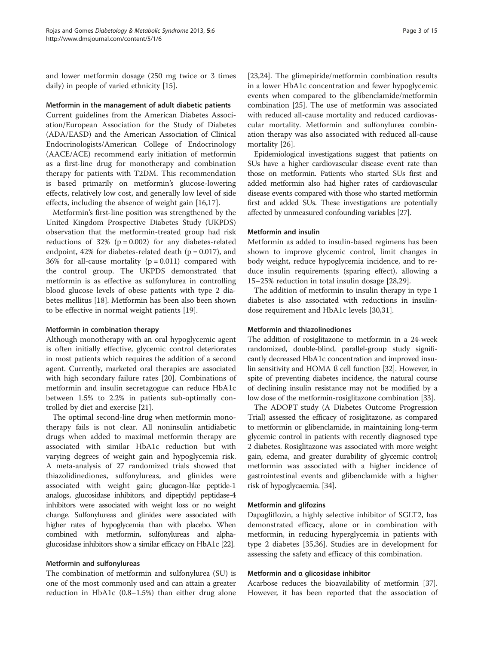and lower metformin dosage (250 mg twice or 3 times daily) in people of varied ethnicity [\[15\]](#page-11-0).

# Metformin in the management of adult diabetic patients

Current guidelines from the American Diabetes Association/European Association for the Study of Diabetes (ADA/EASD) and the American Association of Clinical Endocrinologists/American College of Endocrinology (AACE/ACE) recommend early initiation of metformin as a first-line drug for monotherapy and combination therapy for patients with T2DM. This recommendation is based primarily on metformin's glucose-lowering effects, relatively low cost, and generally low level of side effects, including the absence of weight gain [[16,17\]](#page-11-0).

Metformin's first-line position was strengthened by the United Kingdom Prospective Diabetes Study (UKPDS) observation that the metformin-treated group had risk reductions of  $32\%$  (p = 0.002) for any diabetes-related endpoint,  $42\%$  for diabetes-related death ( $p = 0.017$ ), and 36% for all-cause mortality  $(p = 0.011)$  compared with the control group. The UKPDS demonstrated that metformin is as effective as sulfonylurea in controlling blood glucose levels of obese patients with type 2 diabetes mellitus [[18\]](#page-11-0). Metformin has been also been shown to be effective in normal weight patients [\[19](#page-11-0)].

#### Metformin in combination therapy

Although monotherapy with an oral hypoglycemic agent is often initially effective, glycemic control deteriorates in most patients which requires the addition of a second agent. Currently, marketed oral therapies are associated with high secondary failure rates [[20\]](#page-11-0). Combinations of metformin and insulin secretagogue can reduce HbA1c between 1.5% to 2.2% in patients sub-optimally controlled by diet and exercise [[21](#page-11-0)].

The optimal second-line drug when metformin monotherapy fails is not clear. All noninsulin antidiabetic drugs when added to maximal metformin therapy are associated with similar HbA1c reduction but with varying degrees of weight gain and hypoglycemia risk. A meta-analysis of 27 randomized trials showed that thiazolidinediones, sulfonylureas, and glinides were associated with weight gain; glucagon-like peptide-1 analogs, glucosidase inhibitors, and dipeptidyl peptidase-4 inhibitors were associated with weight loss or no weight change. Sulfonylureas and glinides were associated with higher rates of hypoglycemia than with placebo. When combined with metformin, sulfonylureas and alphaglucosidase inhibitors show a similar efficacy on HbA1c [\[22](#page-11-0)].

### Metformin and sulfonylureas

The combination of metformin and sulfonylurea (SU) is one of the most commonly used and can attain a greater reduction in HbA1c (0.8–1.5%) than either drug alone

[[23,24\]](#page-11-0). The glimepiride/metformin combination results in a lower HbA1c concentration and fewer hypoglycemic events when compared to the glibenclamide/metformin combination [\[25\]](#page-11-0). The use of metformin was associated with reduced all-cause mortality and reduced cardiovascular mortality. Metformin and sulfonylurea combination therapy was also associated with reduced all-cause mortality [\[26\]](#page-11-0).

Epidemiological investigations suggest that patients on SUs have a higher cardiovascular disease event rate than those on metformin. Patients who started SUs first and added metformin also had higher rates of cardiovascular disease events compared with those who started metformin first and added SUs. These investigations are potentially affected by unmeasured confounding variables [\[27](#page-11-0)].

#### Metformin and insulin

Metformin as added to insulin-based regimens has been shown to improve glycemic control, limit changes in body weight, reduce hypoglycemia incidence, and to reduce insulin requirements (sparing effect), allowing a 15–25% reduction in total insulin dosage [[28,29\]](#page-11-0).

The addition of metformin to insulin therapy in type 1 diabetes is also associated with reductions in insulindose requirement and HbA1c levels [[30,31\]](#page-11-0).

# Metformin and thiazolinediones

The addition of rosiglitazone to metformin in a 24-week randomized, double-blind, parallel-group study significantly decreased HbA1c concentration and improved insulin sensitivity and HOMA ß cell function [[32](#page-11-0)]. However, in spite of preventing diabetes incidence, the natural course of declining insulin resistance may not be modified by a low dose of the metformin-rosiglitazone combination [\[33\]](#page-11-0).

The ADOPT study (A Diabetes Outcome Progression Trial) assessed the efficacy of rosiglitazone, as compared to metformin or glibenclamide, in maintaining long-term glycemic control in patients with recently diagnosed type 2 diabetes. Rosiglitazone was associated with more weight gain, edema, and greater durability of glycemic control; metformin was associated with a higher incidence of gastrointestinal events and glibenclamide with a higher risk of hypoglycaemia. [\[34\]](#page-11-0).

#### Metformin and glifozins

Dapagliflozin, a highly selective inhibitor of SGLT2, has demonstrated efficacy, alone or in combination with metformin, in reducing hyperglycemia in patients with type 2 diabetes [[35,36\]](#page-11-0). Studies are in development for assessing the safety and efficacy of this combination.

#### Metformin and α glicosidase inhibitor

Acarbose reduces the bioavailability of metformin [[37](#page-11-0)]. However, it has been reported that the association of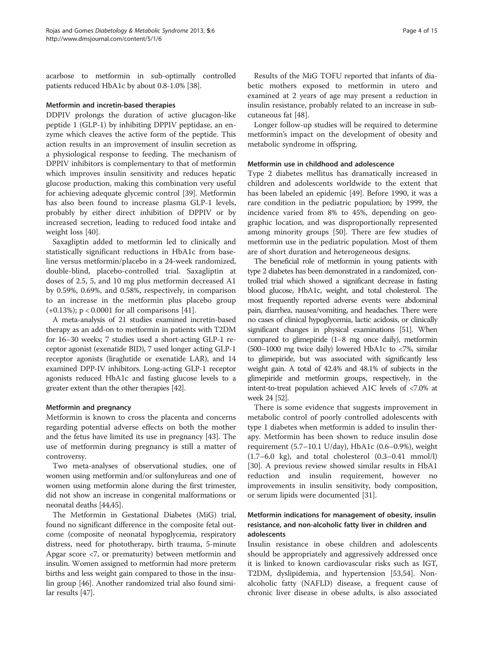acarbose to metformin in sub-optimally controlled patients reduced HbA1c by about 0.8-1.0% [\[38\]](#page-11-0).

# Metformin and incretin-based therapies

DDPIV prolongs the duration of active glucagon-like peptide 1 (GLP-1) by inhibiting DPPIV peptidase, an enzyme which cleaves the active form of the peptide. This action results in an improvement of insulin secretion as a physiological response to feeding. The mechanism of DPPIV inhibitors is complementary to that of metformin which improves insulin sensitivity and reduces hepatic glucose production, making this combination very useful for achieving adequate glycemic control [[39](#page-11-0)]. Metformin has also been found to increase plasma GLP-1 levels, probably by either direct inhibition of DPPIV or by increased secretion, leading to reduced food intake and weight loss [[40\]](#page-11-0).

Saxagliptin added to metformin led to clinically and statistically significant reductions in HbA1c from baseline versus metformin/placebo in a 24-week randomized, double-blind, placebo-controlled trial. Saxagliptin at doses of 2.5, 5, and 10 mg plus metformin decreased A1 by 0.59%, 0.69%, and 0.58%, respectively, in comparison to an increase in the metformin plus placebo group (+0.13%); p < 0.0001 for all comparisons [\[41](#page-11-0)].

A meta-analysis of 21 studies examined incretin-based therapy as an add-on to metformin in patients with T2DM for 16–30 weeks; 7 studies used a short-acting GLP-1 receptor agonist (exenatide BID), 7 used longer acting GLP-1 receptor agonists (liraglutide or exenatide LAR), and 14 examined DPP-IV inhibitors. Long-acting GLP-1 receptor agonists reduced HbA1c and fasting glucose levels to a greater extent than the other therapies [\[42\]](#page-11-0).

### Metformin and pregnancy

Metformin is known to cross the placenta and concerns regarding potential adverse effects on both the mother and the fetus have limited its use in pregnancy [\[43\]](#page-11-0). The use of metformin during pregnancy is still a matter of controversy.

Two meta-analyses of observational studies, one of women using metformin and/or sulfonylureas and one of women using metformin alone during the first trimester, did not show an increase in congenital malformations or neonatal deaths [\[44,45](#page-11-0)].

The Metformin in Gestational Diabetes (MiG) trial, found no significant difference in the composite fetal outcome (composite of neonatal hypoglycemia, respiratory distress, need for phototherapy, birth trauma, 5-minute Apgar score <7, or prematurity) between metformin and insulin. Women assigned to metformin had more preterm births and less weight gain compared to those in the insulin group [\[46\]](#page-12-0). Another randomized trial also found similar results [[47](#page-12-0)].

Results of the MiG TOFU reported that infants of diabetic mothers exposed to metformin in utero and examined at 2 years of age may present a reduction in insulin resistance, probably related to an increase in subcutaneous fat [\[48](#page-12-0)].

Longer follow-up studies will be required to determine metformin's impact on the development of obesity and metabolic syndrome in offspring.

# Metformin use in childhood and adolescence

Type 2 diabetes mellitus has dramatically increased in children and adolescents worldwide to the extent that has been labeled an epidemic [\[49\]](#page-12-0). Before 1990, it was a rare condition in the pediatric population; by 1999, the incidence varied from 8% to 45%, depending on geographic location, and was disproportionally represented among minority groups [[50\]](#page-12-0). There are few studies of metformin use in the pediatric population. Most of them are of short duration and heterogeneous designs.

The beneficial role of metformin in young patients with type 2 diabetes has been demonstrated in a randomized, controlled trial which showed a significant decrease in fasting blood glucose, HbA1c, weight, and total cholesterol. The most frequently reported adverse events were abdominal pain, diarrhea, nausea/vomiting, and headaches. There were no cases of clinical hypoglycemia, lactic acidosis, or clinically significant changes in physical examinations [[51\]](#page-12-0). When compared to glimepiride (1–8 mg once daily), metformin (500–1000 mg twice daily) lowered HbA1c to <7%, similar to glimepiride, but was associated with significantly less weight gain. A total of 42.4% and 48.1% of subjects in the glimepiride and metformin groups, respectively, in the intent-to-treat population achieved A1C levels of <7.0% at week 24 [\[52\]](#page-12-0).

There is some evidence that suggests improvement in metabolic control of poorly controlled adolescents with type 1 diabetes when metformin is added to insulin therapy. Metformin has been shown to reduce insulin dose requirement (5.7–10.1 U/day), HbA1c (0.6–0.9%), weight  $(1.7–6.0 \text{ kg})$ , and total cholesterol  $(0.3–0.41 \text{ mmol/l})$ [[30\]](#page-11-0). A previous review showed similar results in HbA1 reduction and insulin requirement, however no improvements in insulin sensitivity, body composition, or serum lipids were documented [[31\]](#page-11-0).

# Metformin indications for management of obesity, insulin resistance, and non-alcoholic fatty liver in children and adolescents

Insulin resistance in obese children and adolescents should be appropriately and aggressively addressed once it is linked to known cardiovascular risks such as IGT, T2DM, dyslipidemia, and hypertension [[53,54\]](#page-12-0). Nonalcoholic fatty (NAFLD) disease, a frequent cause of chronic liver disease in obese adults, is also associated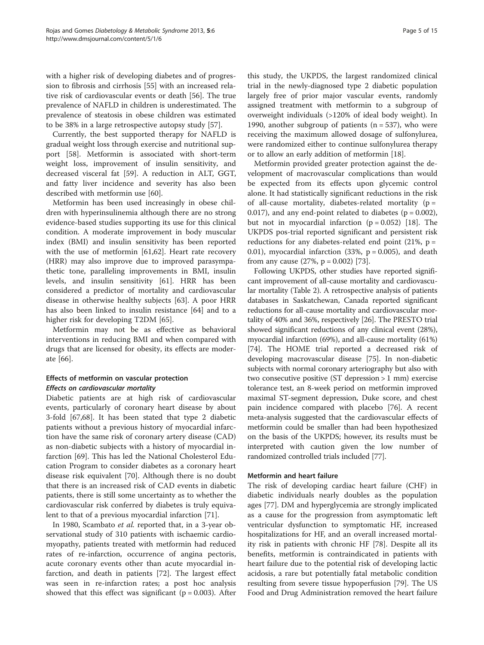with a higher risk of developing diabetes and of progression to fibrosis and cirrhosis [\[55](#page-12-0)] with an increased relative risk of cardiovascular events or death [\[56\]](#page-12-0). The true prevalence of NAFLD in children is underestimated. The prevalence of steatosis in obese children was estimated to be 38% in a large retrospective autopsy study [[57\]](#page-12-0).

Currently, the best supported therapy for NAFLD is gradual weight loss through exercise and nutritional support [\[58](#page-12-0)]. Metformin is associated with short-term weight loss, improvement of insulin sensitivity, and decreased visceral fat [\[59\]](#page-12-0). A reduction in ALT, GGT, and fatty liver incidence and severity has also been described with metformin use [\[60](#page-12-0)].

Metformin has been used increasingly in obese children with hyperinsulinemia although there are no strong evidence-based studies supporting its use for this clinical condition. A moderate improvement in body muscular index (BMI) and insulin sensitivity has been reported with the use of metformin [\[61,62\]](#page-12-0). Heart rate recovery (HRR) may also improve due to improved parasympathetic tone, paralleling improvements in BMI, insulin levels, and insulin sensitivity [\[61\]](#page-12-0). HRR has been considered a predictor of mortality and cardiovascular disease in otherwise healthy subjects [[63\]](#page-12-0). A poor HRR has also been linked to insulin resistance [[64\]](#page-12-0) and to a higher risk for developing T2DM [[65\]](#page-12-0).

Metformin may not be as effective as behavioral interventions in reducing BMI and when compared with drugs that are licensed for obesity, its effects are moderate [[66\]](#page-12-0).

# Effects of metformin on vascular protection Effects on cardiovascular mortality

Diabetic patients are at high risk of cardiovascular events, particularly of coronary heart disease by about 3-fold [\[67,68](#page-12-0)]. It has been stated that type 2 diabetic patients without a previous history of myocardial infarction have the same risk of coronary artery disease (CAD) as non-diabetic subjects with a history of myocardial infarction [[69](#page-12-0)]. This has led the National Cholesterol Education Program to consider diabetes as a coronary heart disease risk equivalent [[70](#page-12-0)]. Although there is no doubt that there is an increased risk of CAD events in diabetic patients, there is still some uncertainty as to whether the cardiovascular risk conferred by diabetes is truly equivalent to that of a previous myocardial infarction [[71\]](#page-12-0).

In 1980, Scambato et al. reported that, in a 3-year observational study of 310 patients with ischaemic cardiomyopathy, patients treated with metformin had reduced rates of re-infarction, occurrence of angina pectoris, acute coronary events other than acute myocardial infarction, and death in patients [[72\]](#page-12-0). The largest effect was seen in re-infarction rates; a post hoc analysis showed that this effect was significant ( $p = 0.003$ ). After

this study, the UKPDS, the largest randomized clinical trial in the newly-diagnosed type 2 diabetic population largely free of prior major vascular events, randomly assigned treatment with metformin to a subgroup of overweight individuals (>120% of ideal body weight). In 1990, another subgroup of patients  $(n = 537)$ , who were receiving the maximum allowed dosage of sulfonylurea, were randomized either to continue sulfonylurea therapy or to allow an early addition of metformin [\[18](#page-11-0)].

Metformin provided greater protection against the development of macrovascular complications than would be expected from its effects upon glycemic control alone. It had statistically significant reductions in the risk of all-cause mortality, diabetes-related mortality ( $p =$ 0.017), and any end-point related to diabetes  $(p = 0.002)$ , but not in myocardial infarction  $(p = 0.052)$  [\[18\]](#page-11-0). The UKPDS pos-trial reported significant and persistent risk reductions for any diabetes-related end point  $(21\% , p =$ 0.01), myocardial infarction  $(33\%, p = 0.005)$ , and death from any cause  $(27\%, p = 0.002)$  [[73\]](#page-12-0).

Following UKPDS, other studies have reported significant improvement of all-cause mortality and cardiovascular mortality (Table [2](#page-5-0)). A retrospective analysis of patients databases in Saskatchewan, Canada reported significant reductions for all-cause mortality and cardiovascular mortality of 40% and 36%, respectively [[26](#page-11-0)]. The PRESTO trial showed significant reductions of any clinical event (28%), myocardial infarction (69%), and all-cause mortality (61%) [[74](#page-12-0)]. The HOME trial reported a decreased risk of developing macrovascular disease [[75](#page-12-0)]. In non-diabetic subjects with normal coronary arteriography but also with two consecutive positive (ST depression > 1 mm) exercise tolerance test, an 8-week period on metformin improved maximal ST-segment depression, Duke score, and chest pain incidence compared with placebo [\[76\]](#page-12-0). A recent meta-analysis suggested that the cardiovascular effects of metformin could be smaller than had been hypothesized on the basis of the UKPDS; however, its results must be interpreted with caution given the low number of randomized controlled trials included [[77](#page-12-0)].

# Metformin and heart failure

The risk of developing cardiac heart failure (CHF) in diabetic individuals nearly doubles as the population ages [\[77\]](#page-12-0). DM and hyperglycemia are strongly implicated as a cause for the progression from asymptomatic left ventricular dysfunction to symptomatic HF, increased hospitalizations for HF, and an overall increased mortality risk in patients with chronic HF [[78\]](#page-12-0). Despite all its benefits, metformin is contraindicated in patients with heart failure due to the potential risk of developing lactic acidosis, a rare but potentially fatal metabolic condition resulting from severe tissue hypoperfusion [[79\]](#page-12-0). The US Food and Drug Administration removed the heart failure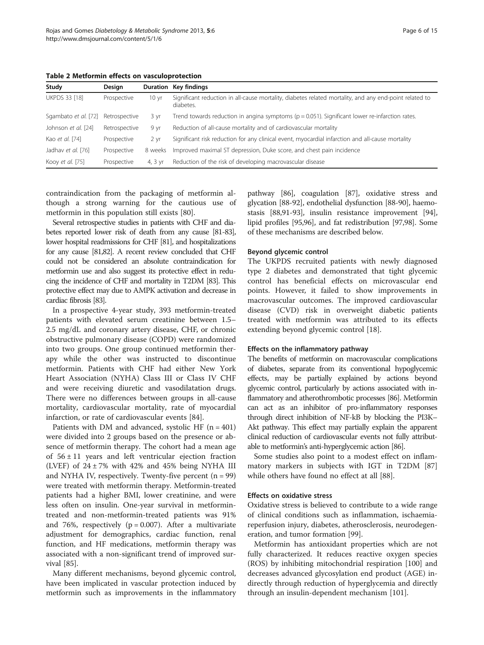<span id="page-5-0"></span>Table 2 Metformin effects on vasculoprotection

| Study                | Design        |                  | Duration Key findings                                                                                               |
|----------------------|---------------|------------------|---------------------------------------------------------------------------------------------------------------------|
| <b>UKPDS 33 [18]</b> | Prospective   | 10 <sub>yr</sub> | Significant reduction in all-cause mortality, diabetes related mortality, and any end-point related to<br>diabetes. |
| Sgambato et al. [72] | Retrospective | 3 yr             | Trend towards reduction in angina symptoms ( $p = 0.051$ ). Significant lower re-infarction rates.                  |
| Johnson et al. [24]  | Retrospective | 9 vr             | Reduction of all-cause mortality and of cardiovascular mortality                                                    |
| Kao et al. [74]      | Prospective   | $2 \, yr$        | Significant risk reduction for any clinical event, myocardial infarction and all-cause mortality                    |
| Jadhav et al. [76]   | Prospective   | 8 weeks          | Improved maximal ST depression, Duke score, and chest pain incidence                                                |
| Kooy et al. [75]     | Prospective   | 4, 3 yr          | Reduction of the risk of developing macrovascular disease                                                           |

contraindication from the packaging of metformin although a strong warning for the cautious use of metformin in this population still exists [\[80\]](#page-12-0).

Several retrospective studies in patients with CHF and diabetes reported lower risk of death from any cause [\[81-83\]](#page-12-0), lower hospital readmissions for CHF [\[81\]](#page-12-0), and hospitalizations for any cause [\[81,82\]](#page-12-0). A recent review concluded that CHF could not be considered an absolute contraindication for metformin use and also suggest its protective effect in reducing the incidence of CHF and mortality in T2DM [\[83\]](#page-12-0). This protective effect may due to AMPK activation and decrease in cardiac fibrosis [\[83](#page-12-0)].

In a prospective 4-year study, 393 metformin-treated patients with elevated serum creatinine between 1.5– 2.5 mg/dL and coronary artery disease, CHF, or chronic obstructive pulmonary disease (COPD) were randomized into two groups. One group continued metformin therapy while the other was instructed to discontinue metformin. Patients with CHF had either New York Heart Association (NYHA) Class III or Class IV CHF and were receiving diuretic and vasodilatation drugs. There were no differences between groups in all-cause mortality, cardiovascular mortality, rate of myocardial infarction, or rate of cardiovascular events [[84\]](#page-12-0).

Patients with DM and advanced, systolic HF  $(n = 401)$ were divided into 2 groups based on the presence or absence of metformin therapy. The cohort had a mean age of  $56 \pm 11$  years and left ventricular ejection fraction (LVEF) of  $24 \pm 7\%$  with 42% and 45% being NYHA III and NYHA IV, respectively. Twenty-five percent  $(n = 99)$ were treated with metformin therapy. Metformin-treated patients had a higher BMI, lower creatinine, and were less often on insulin. One-year survival in metformintreated and non-metformin-treated patients was 91% and 76%, respectively ( $p = 0.007$ ). After a multivariate adjustment for demographics, cardiac function, renal function, and HF medications, metformin therapy was associated with a non-significant trend of improved survival [\[85](#page-12-0)].

Many different mechanisms, beyond glycemic control, have been implicated in vascular protection induced by metformin such as improvements in the inflammatory

pathway [[86](#page-12-0)], coagulation [\[87\]](#page-12-0), oxidative stress and glycation [[88](#page-12-0)-[92](#page-12-0)], endothelial dysfunction [\[88-90\]](#page-12-0), haemostasis [\[88,91-93\]](#page-12-0), insulin resistance improvement [[94](#page-13-0)], lipid profiles [\[95,96\]](#page-13-0), and fat redistribution [\[97,98](#page-13-0)]. Some of these mechanisms are described below.

#### Beyond glycemic control

The UKPDS recruited patients with newly diagnosed type 2 diabetes and demonstrated that tight glycemic control has beneficial effects on microvascular end points. However, it failed to show improvements in macrovascular outcomes. The improved cardiovascular disease (CVD) risk in overweight diabetic patients treated with metformin was attributed to its effects extending beyond glycemic control [\[18](#page-11-0)].

#### Effects on the inflammatory pathway

The benefits of metformin on macrovascular complications of diabetes, separate from its conventional hypoglycemic effects, may be partially explained by actions beyond glycemic control, particularly by actions associated with inflammatory and atherothrombotic processes [\[86](#page-12-0)]. Metformin can act as an inhibitor of pro-inflammatory responses through direct inhibition of NF-kB by blocking the PI3K– Akt pathway. This effect may partially explain the apparent clinical reduction of cardiovascular events not fully attributable to metformin's anti-hyperglycemic action [[86\]](#page-12-0).

Some studies also point to a modest effect on inflammatory markers in subjects with IGT in T2DM [[87](#page-12-0)] while others have found no effect at all [[88\]](#page-12-0).

#### Effects on oxidative stress

Oxidative stress is believed to contribute to a wide range of clinical conditions such as inflammation, ischaemiareperfusion injury, diabetes, atherosclerosis, neurodegeneration, and tumor formation [[99](#page-13-0)].

Metformin has antioxidant properties which are not fully characterized. It reduces reactive oxygen species (ROS) by inhibiting mitochondrial respiration [[100\]](#page-13-0) and decreases advanced glycosylation end product (AGE) indirectly through reduction of hyperglycemia and directly through an insulin-dependent mechanism [[101\]](#page-13-0).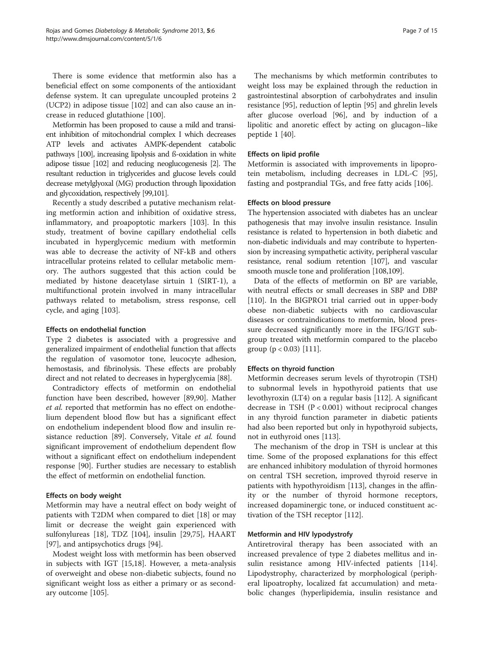There is some evidence that metformin also has a beneficial effect on some components of the antioxidant defense system. It can upregulate uncoupled proteins 2 (UCP2) in adipose tissue [[102\]](#page-13-0) and can also cause an increase in reduced glutathione [[100](#page-13-0)].

Metformin has been proposed to cause a mild and transient inhibition of mitochondrial complex I which decreases ATP levels and activates AMPK-dependent catabolic pathways [\[100\]](#page-13-0), increasing lipolysis and ß-oxidation in white adipose tissue [\[102](#page-13-0)] and reducing neoglucogenesis [[2](#page-11-0)]. The resultant reduction in triglycerides and glucose levels could decrease metylglyoxal (MG) production through lipoxidation and glycoxidation, respectively [\[99,101\]](#page-13-0).

Recently a study described a putative mechanism relating metformin action and inhibition of oxidative stress, inflammatory, and proapoptotic markers [\[103\]](#page-13-0). In this study, treatment of bovine capillary endothelial cells incubated in hyperglycemic medium with metformin was able to decrease the activity of NF-kB and others intracellular proteins related to cellular metabolic memory. The authors suggested that this action could be mediated by histone deacetylase sirtuin 1 (SIRT-1), a multifunctional protein involved in many intracellular pathways related to metabolism, stress response, cell cycle, and aging [[103\]](#page-13-0).

# Effects on endothelial function

Type 2 diabetes is associated with a progressive and generalized impairment of endothelial function that affects the regulation of vasomotor tone, leucocyte adhesion, hemostasis, and fibrinolysis. These effects are probably direct and not related to decreases in hyperglycemia [\[88](#page-12-0)].

Contradictory effects of metformin on endothelial function have been described, however [\[89,90\]](#page-12-0). Mather et al. reported that metformin has no effect on endothelium dependent blood flow but has a significant effect on endothelium independent blood flow and insulin re-sistance reduction [\[89](#page-12-0)]. Conversely, Vitale et al. found significant improvement of endothelium dependent flow without a significant effect on endothelium independent response [\[90](#page-12-0)]. Further studies are necessary to establish the effect of metformin on endothelial function.

# Effects on body weight

Metformin may have a neutral effect on body weight of patients with T2DM when compared to diet [\[18](#page-11-0)] or may limit or decrease the weight gain experienced with sulfonylureas [\[18\]](#page-11-0), TDZ [[104\]](#page-13-0), insulin [[29,](#page-11-0)[75\]](#page-12-0), HAART [[97\]](#page-13-0), and antipsychotics drugs [\[94](#page-13-0)].

Modest weight loss with metformin has been observed in subjects with IGT [[15,18\]](#page-11-0). However, a meta-analysis of overweight and obese non-diabetic subjects, found no significant weight loss as either a primary or as secondary outcome [[105\]](#page-13-0).

The mechanisms by which metformin contributes to weight loss may be explained through the reduction in gastrointestinal absorption of carbohydrates and insulin resistance [[95\]](#page-13-0), reduction of leptin [\[95\]](#page-13-0) and ghrelin levels after glucose overload [[96](#page-13-0)], and by induction of a lipolitic and anoretic effect by acting on glucagon–like peptide 1 [[40\]](#page-11-0).

# Effects on lipid profile

Metformin is associated with improvements in lipoprotein metabolism, including decreases in LDL-C [\[95](#page-13-0)], fasting and postprandial TGs, and free fatty acids [[106\]](#page-13-0).

# Effects on blood pressure

The hypertension associated with diabetes has an unclear pathogenesis that may involve insulin resistance. Insulin resistance is related to hypertension in both diabetic and non-diabetic individuals and may contribute to hypertension by increasing sympathetic activity, peripheral vascular resistance, renal sodium retention [\[107](#page-13-0)], and vascular smooth muscle tone and proliferation [\[108,109](#page-13-0)].

Data of the effects of metformin on BP are variable, with neutral effects or small decreases in SBP and DBP [[110\]](#page-13-0). In the BIGPRO1 trial carried out in upper-body obese non-diabetic subjects with no cardiovascular diseases or contraindications to metformin, blood pressure decreased significantly more in the IFG/IGT subgroup treated with metformin compared to the placebo group  $(p < 0.03)$  [\[111](#page-13-0)].

# Effects on thyroid function

Metformin decreases serum levels of thyrotropin (TSH) to subnormal levels in hypothyroid patients that use levothyroxin (LT4) on a regular basis [\[112](#page-13-0)]. A significant decrease in TSH  $(P < 0.001)$  without reciprocal changes in any thyroid function parameter in diabetic patients had also been reported but only in hypothyroid subjects, not in euthyroid ones [\[113\]](#page-13-0).

The mechanism of the drop in TSH is unclear at this time. Some of the proposed explanations for this effect are enhanced inhibitory modulation of thyroid hormones on central TSH secretion, improved thyroid reserve in patients with hypothyroidism [\[113\]](#page-13-0), changes in the affinity or the number of thyroid hormone receptors, increased dopaminergic tone, or induced constituent activation of the TSH receptor [\[112\]](#page-13-0).

# Metformin and HIV lypodystrofy

Antiretroviral therapy has been associated with an increased prevalence of type 2 diabetes mellitus and insulin resistance among HIV-infected patients [[114](#page-13-0)]. Lipodystrophy, characterized by morphological (peripheral lipoatrophy, localized fat accumulation) and metabolic changes (hyperlipidemia, insulin resistance and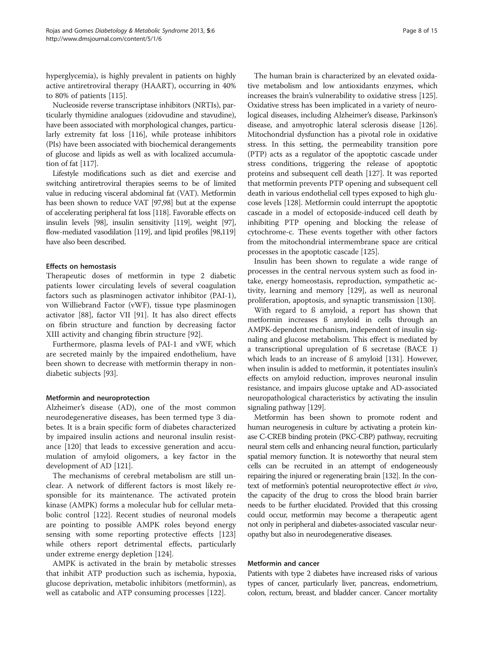hyperglycemia), is highly prevalent in patients on highly active antiretroviral therapy (HAART), occurring in 40% to 80% of patients [[115](#page-13-0)].

Nucleoside reverse transcriptase inhibitors (NRTIs), particularly thymidine analogues (zidovudine and stavudine), have been associated with morphological changes, particularly extremity fat loss [[116](#page-13-0)], while protease inhibitors (PIs) have been associated with biochemical derangements of glucose and lipids as well as with localized accumulation of fat [[117\]](#page-13-0).

Lifestyle modifications such as diet and exercise and switching antiretroviral therapies seems to be of limited value in reducing visceral abdominal fat (VAT). Metformin has been shown to reduce VAT [\[97,98](#page-13-0)] but at the expense of accelerating peripheral fat loss [\[118](#page-13-0)]. Favorable effects on insulin levels [\[98\]](#page-13-0), insulin sensitivity [\[119](#page-13-0)], weight [\[97](#page-13-0)], flow-mediated vasodilation [\[119](#page-13-0)], and lipid profiles [[98,119](#page-13-0)] have also been described.

# Effects on hemostasis

Therapeutic doses of metformin in type 2 diabetic patients lower circulating levels of several coagulation factors such as plasminogen activator inhibitor (PAI-1), von Williebrand Factor (vWF), tissue type plasminogen activator [[88](#page-12-0)], factor VII [[91\]](#page-12-0). It has also direct effects on fibrin structure and function by decreasing factor XIII activity and changing fibrin structure [\[92](#page-12-0)].

Furthermore, plasma levels of PAI-1 and vWF, which are secreted mainly by the impaired endothelium, have been shown to decrease with metformin therapy in nondiabetic subjects [\[93\]](#page-12-0).

### Metformin and neuroprotection

Alzheimer's disease (AD), one of the most common neurodegenerative diseases, has been termed type 3 diabetes. It is a brain specific form of diabetes characterized by impaired insulin actions and neuronal insulin resistance [\[120](#page-13-0)] that leads to excessive generation and accumulation of amyloid oligomers, a key factor in the development of AD [\[121](#page-13-0)].

The mechanisms of cerebral metabolism are still unclear. A network of different factors is most likely responsible for its maintenance. The activated protein kinase (AMPK) forms a molecular hub for cellular metabolic control [\[122\]](#page-13-0). Recent studies of neuronal models are pointing to possible AMPK roles beyond energy sensing with some reporting protective effects [[123](#page-13-0)] while others report detrimental effects, particularly under extreme energy depletion [[124](#page-13-0)].

AMPK is activated in the brain by metabolic stresses that inhibit ATP production such as ischemia, hypoxia, glucose deprivation, metabolic inhibitors (metformin), as well as catabolic and ATP consuming processes [[122\]](#page-13-0).

The human brain is characterized by an elevated oxidative metabolism and low antioxidants enzymes, which increases the brain's vulnerability to oxidative stress [[125](#page-13-0)]. Oxidative stress has been implicated in a variety of neurological diseases, including Alzheimer's disease, Parkinson's disease, and amyotrophic lateral sclerosis disease [[126](#page-13-0)]. Mitochondrial dysfunction has a pivotal role in oxidative stress. In this setting, the permeability transition pore (PTP) acts as a regulator of the apoptotic cascade under stress conditions, triggering the release of apoptotic proteins and subsequent cell death [\[127\]](#page-13-0). It was reported that metformin prevents PTP opening and subsequent cell death in various endothelial cell types exposed to high glucose levels [[128](#page-13-0)]. Metformin could interrupt the apoptotic cascade in a model of ectoposide-induced cell death by inhibiting PTP opening and blocking the release of cytochrome-c. These events together with other factors from the mitochondrial intermembrane space are critical processes in the apoptotic cascade [\[125\]](#page-13-0).

Insulin has been shown to regulate a wide range of processes in the central nervous system such as food intake, energy homeostasis, reproduction, sympathetic activity, learning and memory [[129\]](#page-13-0), as well as neuronal proliferation, apoptosis, and synaptic transmission [\[130](#page-13-0)].

With regard to ß amyloid, a report has shown that metformin increases ß amyloid in cells through an AMPK-dependent mechanism, independent of insulin signaling and glucose metabolism. This effect is mediated by a transcriptional upregulation of ß secretase (BACE 1) which leads to an increase of ß amyloid [[131](#page-13-0)]. However, when insulin is added to metformin, it potentiates insulin's effects on amyloid reduction, improves neuronal insulin resistance, and impairs glucose uptake and AD-associated neuropathological characteristics by activating the insulin signaling pathway [\[129](#page-13-0)].

Metformin has been shown to promote rodent and human neurogenesis in culture by activating a protein kinase C-CREB binding protein (PKC-CBP) pathway, recruiting neural stem cells and enhancing neural function, particularly spatial memory function. It is noteworthy that neural stem cells can be recruited in an attempt of endogeneously repairing the injured or regenerating brain [[132\]](#page-13-0). In the context of metformin's potential neuroprotective effect in vivo, the capacity of the drug to cross the blood brain barrier needs to be further elucidated. Provided that this crossing could occur, metformin may become a therapeutic agent not only in peripheral and diabetes-associated vascular neuropathy but also in neurodegenerative diseases.

### Metformin and cancer

Patients with type 2 diabetes have increased risks of various types of cancer, particularly liver, pancreas, endometrium, colon, rectum, breast, and bladder cancer. Cancer mortality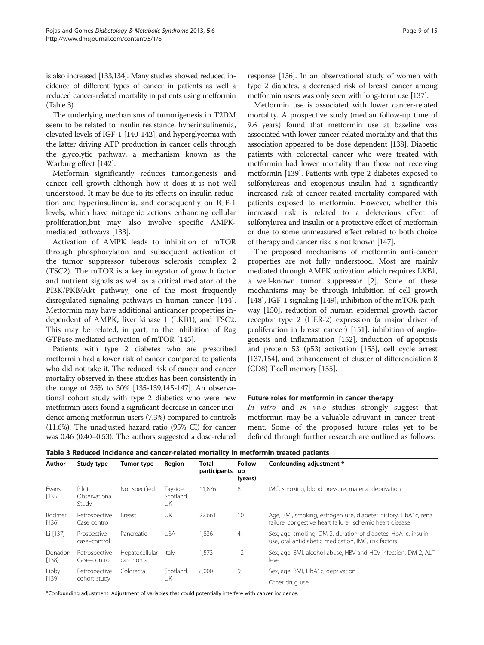is also increased [\[133,134](#page-13-0)]. Many studies showed reduced incidence of different types of cancer in patients as well a reduced cancer-related mortality in patients using metformin (Table 3).

The underlying mechanisms of tumorigenesis in T2DM seem to be related to insulin resistance, hyperinsulinemia, elevated levels of IGF-1 [[140](#page-13-0)-[142](#page-13-0)], and hyperglycemia with the latter driving ATP production in cancer cells through the glycolytic pathway, a mechanism known as the Warburg effect [[142](#page-13-0)].

Metformin significantly reduces tumorigenesis and cancer cell growth although how it does it is not well understood. It may be due to its effects on insulin reduction and hyperinsulinemia, and consequently on IGF-1 levels, which have mitogenic actions enhancing cellular proliferation,but may also involve specific AMPKmediated pathways [[133\]](#page-13-0).

Activation of AMPK leads to inhibition of mTOR through phosphorylaton and subsequent activation of the tumor suppressor tuberous sclerosis complex 2 (TSC2). The mTOR is a key integrator of growth factor and nutrient signals as well as a critical mediator of the PI3K/PKB/Akt pathway, one of the most frequently disregulated signaling pathways in human cancer [\[144](#page-14-0)]. Metformin may have additional anticancer properties independent of AMPK, liver kinase 1 (LKB1), and TSC2. This may be related, in part, to the inhibition of Rag GTPase-mediated activation of mTOR [[145\]](#page-14-0).

Patients with type 2 diabetes who are prescribed metformin had a lower risk of cancer compared to patients who did not take it. The reduced risk of cancer and cancer mortality observed in these studies has been consistently in the range of 25% to 30% [\[135-139](#page-13-0)[,145](#page-14-0)-[147\]](#page-14-0). An observational cohort study with type 2 diabetics who were new metformin users found a significant decrease in cancer incidence among metformin users (7.3%) compared to controls (11.6%). The unadjusted hazard ratio (95% CI) for cancer was 0.46 (0.40–0.53). The authors suggested a dose-related response [\[136](#page-13-0)]. In an observational study of women with type 2 diabetes, a decreased risk of breast cancer among metformin users was only seen with long-term use [\[137\]](#page-13-0).

Metformin use is associated with lower cancer-related mortality. A prospective study (median follow-up time of 9.6 years) found that metformin use at baseline was associated with lower cancer-related mortality and that this association appeared to be dose dependent [\[138\]](#page-13-0). Diabetic patients with colorectal cancer who were treated with metformin had lower mortality than those not receiving metformin [\[139\]](#page-13-0). Patients with type 2 diabetes exposed to sulfonylureas and exogenous insulin had a significantly increased risk of cancer-related mortality compared with patients exposed to metformin. However, whether this increased risk is related to a deleterious effect of sulfonylurea and insulin or a protective effect of metformin or due to some unmeasured effect related to both choice of therapy and cancer risk is not known [\[147](#page-14-0)].

The proposed mechanisms of metformin anti-cancer properties are not fully understood. Most are mainly mediated through AMPK activation which requires LKB1, a well-known tumor suppressor [\[2\]](#page-11-0). Some of these mechanisms may be through inhibition of cell growth [[148](#page-14-0)], IGF-1 signaling [\[149\]](#page-14-0), inhibition of the mTOR pathway [\[150\]](#page-14-0), reduction of human epidermal growth factor receptor type 2 (HER-2) expression (a major driver of proliferation in breast cancer) [[151](#page-14-0)], inhibition of angiogenesis and inflammation [[152](#page-14-0)], induction of apoptosis and protein 53 (p53) activation [\[153\]](#page-14-0), cell cycle arrest [[137](#page-13-0)[,154\]](#page-14-0), and enhancement of cluster of differenciation 8 (CD8) T cell memory [\[155](#page-14-0)].

# Future roles for metformin in cancer therapy

In vitro and in vivo studies strongly suggest that metformin may be a valuable adjuvant in cancer treatment. Some of the proposed future roles yet to be defined through further research are outlined as follows:

Table 3 Reduced incidence and cancer-related mortality in metformin treated patients

| Author                 | Study type                      | Tumor type                  | Region                      | Total<br>participants | <b>Follow</b><br>up<br>(years) | Confounding adjustment *                                                                                                     |
|------------------------|---------------------------------|-----------------------------|-----------------------------|-----------------------|--------------------------------|------------------------------------------------------------------------------------------------------------------------------|
| Evans<br>[135]         | Pilot<br>Observational<br>Study | Not specified               | Tayside,<br>Scotland.<br>UK | 11,876                | 8                              | IMC, smoking, blood pressure, material deprivation                                                                           |
| <b>Bodmer</b><br>[136] | Retrospective<br>Case control   | Breast                      | UK                          | 22,661                | 10                             | Age, BMI, smoking, estrogen use, diabetes history, HbA1c, renal<br>failure, congestive heart failure, ischemic heart disease |
| Li [137]               | Prospective<br>case-control     | Pancreatic                  | <b>USA</b>                  | 1,836                 | $\overline{4}$                 | Sex, age, smoking, DM-2, duration of diabetes, HbA1c, insulin<br>use, oral antidiabetic medication, IMC, risk factors        |
| Donadon<br>[138]       | Retrospective<br>Case-control   | Hepatocellular<br>carcinoma | Italy                       | 1,573                 | 12                             | Sex, age, BMI, alcohol abuse, HBV and HCV infection, DM-2, ALT<br>level                                                      |
| Libby<br>[139]         | Retrospective                   | Colorectal                  | Scotland.<br>UK             | 8,000                 | 9                              | Sex, age, BMI, HbA1c, deprivation                                                                                            |
|                        | cohort study                    |                             |                             |                       |                                | Other drug use                                                                                                               |

\*Confounding adjustment: Adjustment of variables that could potentially interfere with cancer incidence.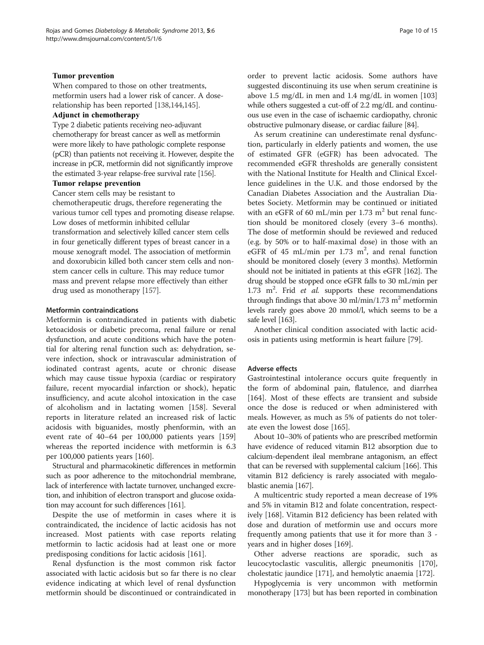### Tumor prevention

When compared to those on other treatments, metformin users had a lower risk of cancer. A doserelationship has been reported [[138](#page-13-0)[,144,145](#page-14-0)].

### Adjunct in chemotherapy

Type 2 diabetic patients receiving neo-adjuvant chemotherapy for breast cancer as well as metformin were more likely to have pathologic complete response (pCR) than patients not receiving it. However, despite the increase in pCR, metformin did not significantly improve the estimated 3-year relapse-free survival rate [[156\]](#page-14-0).

# Tumor relapse prevention

Cancer stem cells may be resistant to chemotherapeutic drugs, therefore regenerating the various tumor cell types and promoting disease relapse. Low doses of metformin inhibited cellular transformation and selectively killed cancer stem cells in four genetically different types of breast cancer in a mouse xenograft model. The association of metformin and doxorubicin killed both cancer stem cells and nonstem cancer cells in culture. This may reduce tumor mass and prevent relapse more effectively than either drug used as monotherapy [\[157\]](#page-14-0).

# Metformin contraindications

Metformin is contraindicated in patients with diabetic ketoacidosis or diabetic precoma, renal failure or renal dysfunction, and acute conditions which have the potential for altering renal function such as: dehydration, severe infection, shock or intravascular administration of iodinated contrast agents, acute or chronic disease which may cause tissue hypoxia (cardiac or respiratory failure, recent myocardial infarction or shock), hepatic insufficiency, and acute alcohol intoxication in the case of alcoholism and in lactating women [\[158](#page-14-0)]. Several reports in literature related an increased risk of lactic acidosis with biguanides, mostly phenformin, with an event rate of 40–64 per 100,000 patients years [[159](#page-14-0)] whereas the reported incidence with metformin is 6.3 per 100,000 patients years [\[160](#page-14-0)].

Structural and pharmacokinetic differences in metformin such as poor adherence to the mitochondrial membrane, lack of interference with lactate turnover, unchanged excretion, and inhibition of electron transport and glucose oxidation may account for such differences [\[161\]](#page-14-0).

Despite the use of metformin in cases where it is contraindicated, the incidence of lactic acidosis has not increased. Most patients with case reports relating metformin to lactic acidosis had at least one or more predisposing conditions for lactic acidosis [[161\]](#page-14-0).

Renal dysfunction is the most common risk factor associated with lactic acidosis but so far there is no clear evidence indicating at which level of renal dysfunction metformin should be discontinued or contraindicated in order to prevent lactic acidosis. Some authors have suggested discontinuing its use when serum creatinine is above 1.5 mg/dL in men and 1.4 mg/dL in women [[103](#page-13-0)] while others suggested a cut-off of 2.2 mg/dL and continuous use even in the case of ischaemic cardiopathy, chronic obstructive pulmonary disease, or cardiac failure [\[84](#page-12-0)].

As serum creatinine can underestimate renal dysfunction, particularly in elderly patients and women, the use of estimated GFR (eGFR) has been advocated. The recommended eGFR thresholds are generally consistent with the National Institute for Health and Clinical Excellence guidelines in the U.K. and those endorsed by the Canadian Diabetes Association and the Australian Diabetes Society. Metformin may be continued or initiated with an eGFR of 60 mL/min per  $1.73 \text{ m}^2$  but renal function should be monitored closely (every 3–6 months). The dose of metformin should be reviewed and reduced (e.g. by 50% or to half-maximal dose) in those with an eGFR of 45 mL/min per  $1.73$  m<sup>2</sup>, and renal function should be monitored closely (every 3 months). Metformin should not be initiated in patients at this eGFR [\[162](#page-14-0)]. The drug should be stopped once eGFR falls to 30 mL/min per 1.73 m<sup>2</sup>. Frid *et al.* supports these recommendations through findings that above 30 ml/min/1.73 m<sup>2</sup> metformin through findings that above 30 ml/min/1.73 m<sup>2</sup> metformin levels rarely goes above 20 mmol/l, which seems to be a safe level [[163\]](#page-14-0).

Another clinical condition associated with lactic acidosis in patients using metformin is heart failure [\[79](#page-12-0)].

# Adverse effects

Gastrointestinal intolerance occurs quite frequently in the form of abdominal pain, flatulence, and diarrhea [[164\]](#page-14-0). Most of these effects are transient and subside once the dose is reduced or when administered with meals. However, as much as 5% of patients do not tolerate even the lowest dose [[165](#page-14-0)].

About 10–30% of patients who are prescribed metformin have evidence of reduced vitamin B12 absorption due to calcium-dependent ileal membrane antagonism, an effect that can be reversed with supplemental calcium [\[166](#page-14-0)]. This vitamin B12 deficiency is rarely associated with megaloblastic anemia [[167\]](#page-14-0).

A multicentric study reported a mean decrease of 19% and 5% in vitamin B12 and folate concentration, respectively [\[168](#page-14-0)]. Vitamin B12 deficiency has been related with dose and duration of metformin use and occurs more frequently among patients that use it for more than 3 years and in higher doses [[169](#page-14-0)].

Other adverse reactions are sporadic, such as leucocytoclastic vasculitis, allergic pneumonitis [[170](#page-14-0)], cholestatic jaundice [\[171\]](#page-14-0), and hemolytic anaemia [[172\]](#page-14-0).

Hypoglycemia is very uncommon with metformin monotherapy [\[173\]](#page-14-0) but has been reported in combination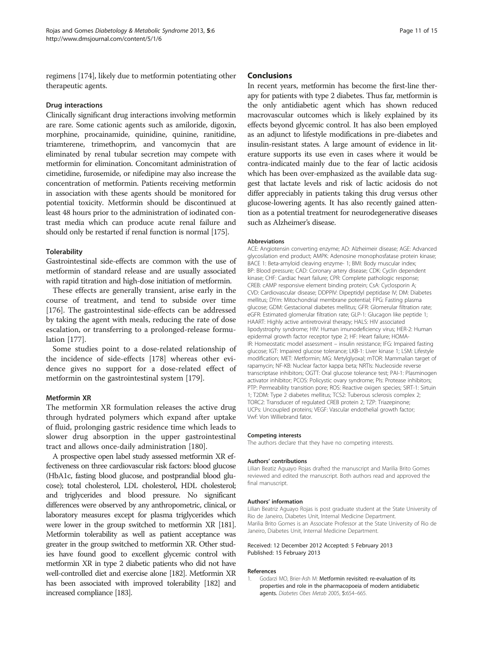<span id="page-10-0"></span>regimens [[174](#page-14-0)], likely due to metformin potentiating other therapeutic agents.

#### Drug interactions

Clinically significant drug interactions involving metformin are rare. Some cationic agents such as amiloride, digoxin, morphine, procainamide, quinidine, quinine, ranitidine, triamterene, trimethoprim, and vancomycin that are eliminated by renal tubular secretion may compete with metformin for elimination. Concomitant administration of cimetidine, furosemide, or nifedipine may also increase the concentration of metformin. Patients receiving metformin in association with these agents should be monitored for potential toxicity. Metformin should be discontinued at least 48 hours prior to the administration of iodinated contrast media which can produce acute renal failure and should only be restarted if renal function is normal [[175](#page-14-0)].

### **Tolerability**

Gastrointestinal side-effects are common with the use of metformin of standard release and are usually associated with rapid titration and high-dose initiation of metformin.

These effects are generally transient, arise early in the course of treatment, and tend to subside over time [[176\]](#page-14-0). The gastrointestinal side-effects can be addressed by taking the agent with meals, reducing the rate of dose escalation, or transferring to a prolonged-release formulation [[177\]](#page-14-0).

Some studies point to a dose-related relationship of the incidence of side-effects [[178](#page-14-0)] whereas other evidence gives no support for a dose-related effect of metformin on the gastrointestinal system [[179](#page-14-0)].

# Metformin XR

The metformin XR formulation releases the active drug through hydrated polymers which expand after uptake of fluid, prolonging gastric residence time which leads to slower drug absorption in the upper gastrointestinal tract and allows once-daily administration [\[180](#page-14-0)].

A prospective open label study assessed metformin XR effectiveness on three cardiovascular risk factors: blood glucose (HbA1c, fasting blood glucose, and postprandial blood glucose); total cholesterol, LDL cholesterol, HDL cholesterol; and triglycerides and blood pressure. No significant differences were observed by any anthropometric, clinical, or laboratory measures except for plasma triglycerides which were lower in the group switched to metformin XR [\[181\]](#page-14-0). Metformin tolerability as well as patient acceptance was greater in the group switched to metformin XR. Other studies have found good to excellent glycemic control with metformin XR in type 2 diabetic patients who did not have well-controlled diet and exercise alone [\[182](#page-14-0)]. Metformin XR has been associated with improved tolerability [\[182\]](#page-14-0) and increased compliance [\[183\]](#page-14-0).

#### Conclusions

In recent years, metformin has become the first-line therapy for patients with type 2 diabetes. Thus far, metformin is the only antidiabetic agent which has shown reduced macrovascular outcomes which is likely explained by its effects beyond glycemic control. It has also been employed as an adjunct to lifestyle modifications in pre-diabetes and insulin-resistant states. A large amount of evidence in literature supports its use even in cases where it would be contra-indicated mainly due to the fear of lactic acidosis which has been over-emphasized as the available data suggest that lactate levels and risk of lactic acidosis do not differ appreciably in patients taking this drug versus other glucose-lowering agents. It has also recently gained attention as a potential treatment for neurodegenerative diseases such as Alzheimer's disease.

#### Abbreviations

ACE: Angiotensin converting enzyme; AD: Alzheimeir disease; AGE: Advanced glycosilation end product; AMPK: Adenosine monophosfatase protein kinase; BACE 1: Beta-amyloid cleaving enzyme- 1; BMI: Body muscular index; BP: Blood pressure; CAD: Coronary artery disease; CDK: Cyclin dependent kinase; CHF: Cardiac heart failure; CPR: Complete pathologic response; CREB: cAMP responsive element binding protein; CsA: Cyclosporin A; CVD: Cardiovascular disease; DDPPIV: Dipeptidyl peptidase IV; DM: Diabetes mellitus; DYm: Mitochondrial membrane potential; FPG: Fasting plasma glucose; GDM: Gestacional diabetes mellitus; GFR: Glomerular filtration rate; eGFR: Estimated glomerular filtration rate; GLP-1: Glucagon like peptide 1; HAART: Highly active antiretroviral therapy; HALS: HIV associated lipodystrophy syndrome; HIV: Human imunodeficiency virus; HER-2: Human epidermal growth factor receptor type 2; HF: Heart failure; HOMA-IR: Homeostatic model assessment – insulin resistance; IFG: Impaired fasting glucose; IGT: Impaired glucose tolerance; LKB-1: Liver kinase 1; LSM: Lifestyle modification; MET: Metformin; MG: Metylglyoxal; mTOR: Mammalian target of rapamycin; NF-KB: Nuclear factor kappa beta; NRTIs: Nucleoside reverse transcriptase inhibitors; OGTT: Oral glucose tolerance test; PAI-1: Plasminogen activator inhibitor; PCOS: Policystic ovary syndrome; PIs: Protease inhibitors; PTP: Permeability transition pore; ROS: Reactive oxigen species; SIRT-1: Sirtuin 1; T2DM: Type 2 diabetes mellitus; TCS2: Tuberous sclerosis complex 2; TORC2: Transducer of regulated CREB protein 2; TZP: Triazepinone; UCPs: Uncoupled proteins; VEGF: Vascular endothelial growth factor; Vwf: Von Williebrand fator.

#### Competing interests

The authors declare that they have no competing interests.

#### Authors' contributions

Lilian Beatiz Aguayo Rojas drafted the manuscript and Marilia Brito Gomes reviewed and edited the manuscript. Both authors read and approved the final manuscript.

#### Authors' information

Lilian Beatriz Aguayo Rojas is post graduate student at the State University of Rio de Janeiro, Diabetes Unit, Internal Medicine Department. Marilia Brito Gomes is an Associate Professor at the State University of Rio de Janeiro, Diabetes Unit, Internal Medicine Department.

#### Received: 12 December 2012 Accepted: 5 February 2013 Published: 15 February 2013

#### References

1. Godarzi MO, Brier-Ash M: Metformin revisited: re-evaluation of its properties and role in the pharmacopoeia of modern antidiabetic agents. Diabetes Obes Metab 2005, 5:654–665.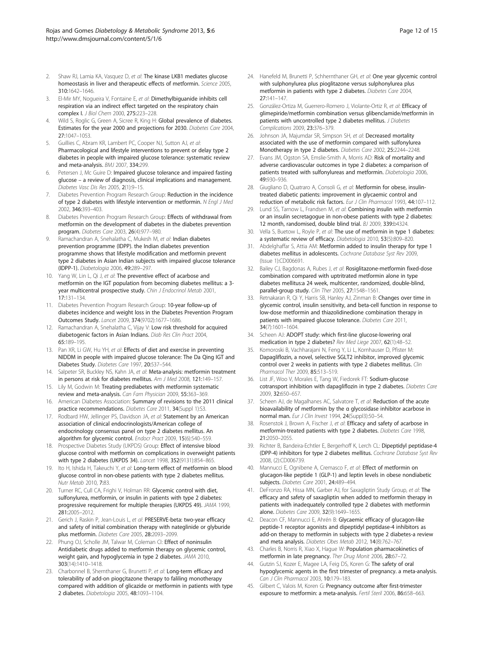- <span id="page-11-0"></span>Shaw RJ, Lamia KA, Vasquez D, et al: The kinase LKB1 mediates glucose homeostasis in liver and therapeutic effects of metformin. Science 2005, 310:1642–1646.
- El-Mir MY, Nogueira V, Fontaine E, et al: Dimethylbiguanide inhibits cell respiration via an indirect effect targeted on the respiratory chain complex I. J Biol Chem 2000, 275:223–228.
- 4. Wild S, Roglic G, Green A, Sicree R, King H: Global prevalence of diabetes. Estimates for the year 2000 and projections for 2030. Diabetes Care 2004, 27:1047–1053.
- Guillies C, Abram KR, Lambert PC, Cooper NJ, Sutton AJ, et al: Pharmacological and lifestyle interventions to prevent or delay type 2 diabetes in people with impaired glucose tolerance: systematic review and meta-analysis. BMJ 2007, 334:299.
- 6. Petersen J, Mc Guire D: Impaired glucose tolerance and impaired fasting glucose – a review of diagnosis, clinical implications and management. Diabetes Vasc Dis Res 2005, 2(1):9–15.
- 7. Diabetes Prevention Program Research Group: Reduction in the incidence of type 2 diabetes with lifestyle intervention or metformin. N Engl J Med 2002, 346:393–403.
- 8. Diabetes Prevention Program Research Group: Effects of withdrawal from metformin on the development of diabetes in the diabetes prevention program. Diabetes Care 2003, 26(4):977–980.
- Ramachandran A, Snehalatha C, Mukesh M, et al: Indian diabetes prevention programme (IDPP). the Indian diabetes prevention programme shows that lifestyle modification and metformin prevent type 2 diabetes in Asian Indian subjects with impaired glucose tolerance (IDPP-1). Diabetologia 2006, 49:289–297.
- 10. Yang W, Lin L, Qi J, et al: The preventive effect of acarbose and metformin on the IGT population from becoming diabetes mellitus: a 3 year multicentral prospective study. Chin J Endocrinol Metab 2001, 17:131–134.
- 11. Diabetes Prevention Program Research Group: 10-year follow-up of diabetes incidence and weight loss in the Diabetes Prevention Program Outcomes Study. Lancet 2009, 374(9702):1677–1686.
- 12. Ramachandran A, Snehalatha C, Vijay V: Low risk threshold for acquired diabetogenic factors in Asian Indians. Diab Res Clin Pract 2004, 65:189–195.
- 13. Pan XR, Li GW, Hu YH, et al: Effects of diet and exercise in preventing NIDDM in people with impaired glucose tolerance: The Da Qing IGT and Diabetes Study. Diabetes Care 1997, 20:537–544.
- 14. Salpeter SR, Buckley NS, Kahn JA, et al: Meta-analysis: metformin treatment in persons at risk for diabetes mellitus. Am J Med 2008, 121:149-157.
- 15. Lily M, Godwin M: Treating prediabetes with metformin systematic review and meta-analysis. Can Fam Physician 2009, 55:363–369.
- 16. American Diabetes Association: Summary of revisions to the 2011 clinical practice recommendations. Diabetes Care 2011, 34(Suppl 1):S3.
- 17. Rodbard HW, Jellinger PS, Davidson JA, et al: Statement by an American association of clinical endocrinologists/American college of endocrinology consensus panel on type 2 diabetes mellitus. An algorithm for glycemic control. Endocr Pract 2009, 15(6):540–559.
- 18. Prospective Diabetes Study (UKPDS) Group: Effect of intensive blood glucose control with metformin on complications in overweight patients with type 2 diabetes (UKPDS 34). Lancet 1998, 352(9131):854–865.
- 19. Ito H, Ishida H, Takeuchi Y, et al: Long-term effect of metformin on blood glucose control in non-obese patients with type 2 diabetes mellitus. Nutr Metab 2010, 7:83.
- 20. Turner RC, Cull CA, Frighi V, Holman RR: Glycemic control with diet, sulfonylurea, metformin, or insulin in patients with type 2 diabetes: progressive requirement for multiple therapies (UKPDS 49). JAMA 1999, 281:2005–2012.
- 21. Gerich J, Raskin P, Jean-Louis L, et al: PRESERVE-beta: two-year efficacy and safety of initial combination therapy with nateglinide or glyburide plus metformin. Diabetes Care 2005, 28:2093–2099.
- 22. Phung OJ, Scholle JM, Talwar M, Coleman CI: Effect of noninsulin Antidiabetic drugs added to metformin therapy on glycemic control, weight gain, and hypoglycemia in type 2 diabetes. JAMA 2010, 303(14):1410–1418.
- 23. Charbonnel B, Shernthaner G, Brunetti P, et al: Long-term efficacy and tolerability of add-on piogçitazone therapy to faliling monotherapy compared with addition of glicazide or metformin in patients with type 2 diabetes. Diabetologia 2005, 48:1093–1104.
- 24. Hanefeld M, Brunetti P, Schhernthaner GH, et al: One year glycemic control with sulphonylurea plus pioglitazone versus sulphonylurea plus metformin in patients with type 2 diabetes. Diabetes Care 2004, 27:141–147.
- 25. González-Ortiza M, Guerrero-Romero J, Violante-Ortiz R, et al: Efficacy of glimepiride/metformin combination versus glibenclamide/metformin in patients with uncontrolled type 2 diabetes mellitus. J Diabetes Complications 2009, 23:376–379.
- 26. Johnson JA, Majumdar SR, Simpson SH, et al: Decreased mortality associated with the use of metformin compared with sulfonylurea Monotherapy in type 2 diabetes. Diabetes Care 2002, 25:2244-2248.
- 27. Evans JM, Ogston SA, Emslie-Smith A, Morris AD: Risk of mortality and adverse cardiovascular outcomes in type 2 diabetes: a comparison of patients treated with sulfonylureas and metformin. Diabetologia 2006, 49:930–936.
- 28. Giugliano D, Quatraro A, Consoli G, et al: Metformin for obese, insulintreated diabetic patients: improvement in glycaemic control and reduction of metabolic risk factors. Eur J Clin Pharmacol 1993, 44:107-112.
- 29. Lund SS, Tarnow L, Frandsen M, et al: Combining insulin with metformin or an insulin secretagogue in non-obese patients with type 2 diabetes: 12 month, randomised, double blind trial. BJ 2009, 339:b4324.
- Vella S, Buetow L, Royle P, et al: The use of metformin in type 1 diabetes: a systematic review of efficacy. Diabetologia 2010, 53(5):809–820.
- 31. Abdelghaffar S, Attia AM: Metformin added to insulin therapy for type 1 diabetes mellitus in adolescents. Cochrane Database Syst Rev 2009, (Issue 1):CD006691.
- 32. Bailey CJ, Bagdonas A, Rubes J, et al: Rosiglitazone-metformin fixed-dose combination compared with uptritrated metformin alone in type diabetes mellitus:a 24 week, multicenter, randomized, double-blind, parallel-group study. Clin Ther 2005, 27:1548–1561.
- 33. Retnakaran R, Qi Y, Harris SB, Hanley AJ, Zinman B: Changes over time in glycemic control, insulin sensitivity, and beta-cell function in response to low-dose metformin and thiazolidinedione combination therapy in patients with impaired glucose tolerance. Diabetes Care 2011, 34(7):1601–1604.
- 34. Scheen AJ: ADOPT study: which first-line glucose-lowering oral medication in type 2 diabetes? Rev Med Liege 2007, 62(1):48–52.
- 35. Komoroski B, Vachharajani N, Feng Y, Li L, Kornhauser D, Pfister M: Dapagliflozin, a novel, selective SGLT2 inhibitor, improved glycemic control over 2 weeks in patients with type 2 diabetes mellitus. Clin Pharmacol Ther 2009, 85:513–519.
- 36. List JF, Woo V, Morales E, Tang W, Fiedorek FT: Sodium-glucose cotransport inhibition with dapagliflozin in type 2 diabetes. Diabetes Care 2009, 32:650–657.
- 37. Scheen AJ, de Magalhanes AC, Salvatore T, et al: Reduction of the acute bioavailability of metformin by the α glycosidase inhibitor acarbose in normal man. Eur J Clin Invest 1994, 24(Suppl3):50-54.
- 38. Rosenstok J, Brown A, Fischer J, et al: Efficacy and safety of acarbose in metformin-treated patients with type 2 diabetes. Diabetes Care 1998, 21:2050–2055.
- 39. Richter B, Bandeira-Echtler E, Bergerhoff K, Lerch CL: Dipeptidyl peptidase-4 (DPP-4) inhibitors for type 2 diabetes mellitus. Cochrane Database Syst Rev 2008, (2):CD006739.
- 40. Mannucci E, Ognibene A, Cremasco F, et al: Effect of metformin on glucagon-like peptide 1 (GLP-1) and leptin levels in obese nondiabetic subjects. Diabetes Care 2001, 24:489–494.
- 41. DeFronzo RA, Hissa MN, Garber AJ, for Saxagliptin Study Group, et al: The efficacy and safety of saxagliptin when added to metformin therapy in patients with inadequately controlled type 2 diabetes with metformin alone. Diabetes Care 2009, 32(9):1649–1655.
- 42. Deacon CF, Mannucci E, Ahrén B: Glycaemic efficacy of glucagon-like peptide-1 receptor agonists and dipeptidyl peptidase-4 inhibitors as add-on therapy to metformin in subjects with type 2 diabetes-a review and meta analysis. Diabetes Obes Metab 2012, 14(8):762–767.
- 43. Charles B, Norris R, Xiao X, Hague W: Population pharmacokinetics of metformin in late pregnancy. Ther Drug Monit 2006, 28:67–72.
- 44. Gutzin SJ, Kozer E, Magee LA, Feig DS, Koren G: The safety of oral hypoglycemic agents in the first trimester of pregnancy. a meta-analysis. Can J Clin Pharmacol 2003, 10:179–183.
- 45. Gilbert C, Valois M, Koren G: Pregnancy outcome after first-trimester exposure to metformin: a meta-analysis. Fertil Steril 2006, 86:658-663.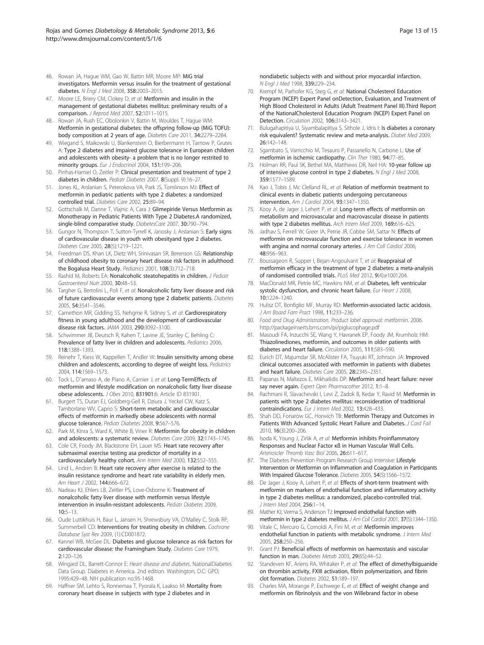- <span id="page-12-0"></span>46. Rowan JA, Hague WM, Gao W, Battin MR, Moore MP: MiG trial investigators. Metformin versus insulin for the treatment of gestational diabetes. N Engl J Med 2008, 358:2003–2015.
- 47. Moore LE, Briery CM, Clokey D, et al: Metformin and insulin in the management of gestational diabetes mellitus: preliminary results of a comparison. J Reprod Med 2007, 52:1011–1015.
- 48. Rowan JA, Rush EC, Obolonkin V, Battin M, Wouldes T, Hague WM: Metformin in gestational diabetes: the offspring follow-up (MiG TOFU): body composition at 2 years of age. Diabetes Care 2011, 34:2279–2284.
- 49. Wiegand S, Maikowski U, Blankenstein O, Bierbermann H, Tarnow P, Grutes A: Type 2 diabetes and impaired glucose tolerance in European children and adolescents with obesity- a problem that is no longer restrited to minority groups. Eur J Endocrinol 2004, 151:199-206.
- 50. Pinhas-Hamiel O, Zeitler P: Clinical presentation and treatment of type 2 diabetes in children. Pediatr Diabetes 2007, 8(Suppl. 9):16–27.
- 51. Jones KL, Arslanian S, Peterokova VA, Park JS, Tomlinson MJ: Effect of metformin in pediatric patients with type 2 diabetes: a randomized controlled trial. Diabetes Care 2002, 25:89–94.
- 52. Gottschalk M, Danne T, Vlajnic A, Cara J: Glimepiride Versus Metformin as Monotherapy in Pediatric Patients With Type 2 Diabetes.A randomized, single-blind comparative study. DiabetesCare 2007, 30:790–794.
- 53. Gungor N, Thompson T, Sutton-Tyrrell K, Janosky J, Arslanian S: Early signs of cardiovascular disease in youth with obesityand type 2 diabetes. Diabetes Care 2005, 28(5):1219–1221.
- 54. Freedman DS, Khan LK, Dietz WH, Srinivasan SR, Berenson GS: Relationship of childhood obesity to coronary heart disease risk factors in adulthood: the Bogalusa Heart Study. Pediatrics 2001, 108(3):712–718.
- 55. Rashid M, Roberts EA: Nonalcoholic steatohepatitis in children. J Pediatr Gastroenterol Nutr 2000, 30:48–53.
- 56. Targher G, Bertolini L, Poli F, et al: Nonalcoholic fatty liver disease and risk of future cardiovascular events among type 2 diabetic patients. Diabetes 2005, 54:3541–3546.
- 57. Carnethon MR, Gidding SS, Nehgme R, Sidney S, et al: Cardiorespiratory fitness in young adulthood and the development of cardiovascular disease risk factors. JAMA 2003, 290:3092–3100.
- 58. Schwimmer JB, Deutsch R, Kahen T, Lavine JE, Stanley C, Behling C: Prevalence of fatty liver in children and adolescents. Pediatrics 2006, 118:1388–1393.
- 59. Reinehr T, Kiess W, Kappellen T, Andler W: Insulin sensitivity among obese children and adolescents, according to degree of weight loss. Pediatrics 2004, 114:1569–1573.
- 60. Tock L, Dˆamaso A, de Piano A, Carnier J, et al: Long-TermEffects of metformin and lifestyle modification on nonalcoholic fatty liver disease obese adolescents. J Obes 2010, 831901:6. Article ID 831901.
- 61. Burgert TS, Duran EJ, Goldberg-Gell R, Dziura J, Yeckel CW, Katz S, Tamborlane WV, Caprio S: Short-term metabolic and cardiovascular effects of metformin in markedly obese adolescents with normal glucose tolerance. Pediatr Diabetes 2008, 9:567–576.
- 62. Park M, Kinra S, Ward K, White B, Viner R: Metformin for obesity in children and adolescents: a systematic review. Diabetes Care 2009, 32:1743–1745.
- 63. Cole CR, Foody JM, Blackstone EH, Lauer MS: Heart rate recoverv after submaximal exercise testing asa predictor of mortality in a cardiovascularly healthy cohort. Ann Intern Med 2000, 132:552–555.
- 64. Lind L, Andren B: Heart rate recovery after exercise is related to the insulin resistance syndrome and heart rate variability in elderly men. Am Heart J 2002, 144:666–672.
- 65. Nadeau KJ, Ehlers LB, Zeitler PS, Love-Osborne K: Treatment of nonalcoholic fatty liver disease with metformin versus lifestyle intervention in insulin-resistant adolescents. Pediatr Diabetes 2009,  $10:5-13$
- 66. Oude Luttikhuis H, Baur L, Jansen H, Shrewsbury VA, O'Malley C, Stolk RP, Summerbell CD: Interventions for treating obesity in children. Cochrane Database Syst Rev 2009, (1):CD001872.
- 67. Kannel WB, McGee DL: Diabetes and glucose tolerance as risk factors for cardiovascular disease: the Framingham Study. Diabetes Care 1979, 2:120–126.
- 68. Wingard DL, Barrett-Connor E: Heart disease and diabetes, NationalDiabetes Data Group. Diabetes in America. 2nd edition. Washington, D.C: GPO; 1995:429–48. NIH publication no.95-1468.
- 69. Haffner SM, Lehto S, Ronnemaa T, Pyorala K, Laakso M: Mortality from coronary heart disease in subjects with type 2 diabetes and in

nondiabetic subjects with and without prior myocardial infarction. N Engl J Med 1998, 339:229–234.

- 70. Krempf M, Parhofer KG, Steg G, et al: National Cholesterol Education Program (NCEP) Expert Panel onDetection, Evaluation, and Treatment of High Blood Cholesterol in Adults (Adult Treatment Panel III).Third Report of the NationalCholesterol Education Program (NCEP) Expert Panel on Detection. Circulation 2002, 106:3143–3421.
- 71. Bulugahapitiya U, Siyambalapitiya S, Sithole J, Idris I: Is diabetes a coronary risk equivalent? Systematic review and meta-analysis. Diabet Med 2009, 26:142–148.
- Sgambato S, Varricchio M, Tesauro P, Passariello N, Carbone L: Use of metformin in ischemic cardiopathy. Clin Ther 1980, 94:77-85.
- 73. Holman RR, Paul SK, Bethel MA, Matthews DR, Neil HA: 10-year follow up of intensive glucose control in type 2 diabetes. N Engl J Med 2008, 359:1577–1589.
- 74. Kao J, Tobis J, Mc Clelland RL, et al: Relation of metformin treatment to clinical events in diabetic patients undergoing percutaneous intervention. Am J Cardiol 2004, 93:1347–1350.
- 75. Kooy A, de Jager J, Lehert P, et al: Long-term effects of metformin on metabolism and microvascular and macrovascular disease in patients with type 2 diabetes mellitus. Arch Intern Med 2009, 169:616–625.
- 76. Jadhav S, Ferrell W, Greer IA, Petrie JR, Cobbe SM, Sattar N: Effects of metformin on microvascular function and exercise tolerance in women with angina and normal coronary arteries. J Am Coll Cardiol 2006, 48:956–963.
- 77. Boussageon R, Supper I, Bejan-Angoulvant T, et al: Reappraisal of metformin efficacy in the treatment of type 2 diabetes: a meta-analysis of randomised controlled trials. PLoS Med 2012, 9(4):e1001204
- 78. MacDonald MR, Petrie MC, Hawkins NM, et al: Diabetes, left ventricular systolic dysfunction, and chronic heart failure. Eur Heart J 2008, 10:1224–1240.
- 79. Hulisz DT, Bonfiglio MF, Murray RD: Metformin-associated lactic acidosis. J Am Board Fam Pract 1998, 11:233–236.
- 80. Food and Drug Administration. Product label approval: metformin. 2006. <http://packageinserts.bms.com/pi/piglucophage.pdf>
- 81. Masoudi FA, Inzucchi SE, Wang Y, Havranek EP, Foody JM, Krumholz HM: Thiazolinediones, metformin, and outcomes in older patients with diabetes and heart failure. Circulation 2005, 111:583–590.
- 82. Eurich DT, Majumdar SR, McAlister FA, Tsuyuki RT, Johnson JA: Improved clinical outcomes associated with metformin in patients with diabetes and heart failure. Diabetes Care 2005, 28:2345–2351.
- 83. Papanas N, Maltezos E, Mikhailidis DP: Metformin and heart failure: never say never again. Expert Opin Pharmacother 2012, 1:1-8.
- 84. Rachmani R, Slavachevski I, Levi Z, Zadok B, Kedar Y, Ravid M: Metformin in patients with type 2 diabetes mellitus: reconsideration of traditional contraindications. Eur J Intern Med 2002, 13:428–433.
- 85. Shah DD, Fonarow GC, Horwich TB: Metformin Therapy and Outcomes in Patients With Advanced Systolic Heart Failure and Diabetes. J Card Fail 2010, 16(3):200–206.
- 86. Isoda K, Young J, Zirlik A, et al: Metformin inhibits Proinflammatory Responses and Nuclear Factor ĸß in Human Vascular Wall Cells. Arterioscler Thromb Vasc Biol 2006, 26:611–617.
- 87. The Diabetes Prevention Program Research Group Intensive: Lifestyle Intervention or Metformin on Inflammation and Coagulation in Participants With Impaired Glucose Tolerance. Diabetes 2005, 54(5):1566–1572.
- 88. De Jager J, Kooy A, Lehert P, et al: Effects of short-term treatment with metformin on markers of endothelial function and inflammatory activity in type 2 diabetes mellitus: a randomized, placebo-controlled trial. J Intern Med 2004, 256:1-14.
- 89. Mather KJ, Verma S, Anderson TJ: Improved endothelial function with metformin in type 2 diabetes mellitus. J Am Coll Cardiol 2001, 37(5):1344–1350.
- 90. Vitale C, Mercuro G, Cornoldi A, Fini M, et al: Metformin improves endothelial function in patients with metabolic syndrome. J Intern Med 2005, 258:250–256.
- 91. Grant PJ: Beneficial effects of metformin on haemostasis and vascular function in man. Diabetes Metab 2003, 29(6S):44-52.
- 92. Standeven KF, Ariens RA, Whitaker P, et al: The effect of dimethylbiquanide on thrombin activity, FXIII activation, fibrin polymerization, and fibrin clot formation. Diabetes 2002, 51:189–197.
- 93. Charles MA, Morange P, Eschwege E, et al: Effect of weight change and metformin on fibrinolysis and the von Willebrand factor in obese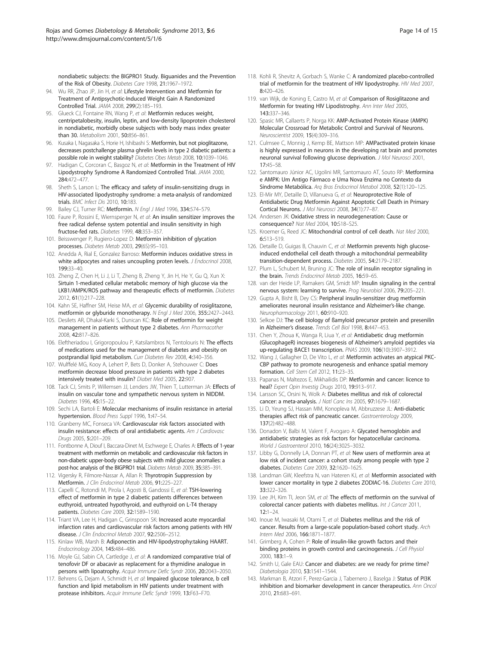<span id="page-13-0"></span>nondiabetic subjects: the BIGPRO1 Study. Biguanides and the Prevention of the Risk of Obesity. Diabetes Care 1998, 21:1967–1972.

- 94. Wu RR, Zhao JP, Jin H, et al: Lifestyle Intervention and Metformin for Treatment of Antipsychotic-Induced Weight Gain A Randomized Controlled Trial. JAMA 2008, 299(2):185–193.
- 95. Glueck CJ, Fontaine RN, Wang P, et al: Metformin reduces weight, centripetalobesity, insulin, leptin, and low-density lipoprotein cholesterol in nondiabetic, morbidly obese subjects with body mass index greater than 30. Metabolism 2001, 50:856–861.
- 96. Kusaka I, Nagasaka S, Horie H, Ishibashi S: Metformin, but not pioglitazone, decreases postchallenge plasma ghrelin levels in type 2 diabetic patients: a possible role in weight stability? Diabetes Obes Metab 2008, 10:1039–1046.
- 97. Hadigan C, Corcoran C, Basgoz N, et al: Metformin in the Treatment of HIV Lipodystrophy Syndrome A Randomized Controlled Trial. JAMA 2000, 284:472–477.
- 98. Sheth S, Larson L: The efficacy and safety of insulin-sensitizing drugs in HIV-associated lipodystrophy syndrome: a meta-analysis of randomized trials. BMC Infect Dis 2010, 10:183.
- 99. Bailey CJ, Turner RC: Metformin. N Engl J Med 1996, 334:574-579.
- 100. Faure P, Rossini E, Wiernsperger N, et al: An insulin sensitizer improves the free radical defense system potential and insulin sensitivity in high fructose-fed rats. Diabetes 1999, 48:353–357.
- 101. Beisswenger P, Rugiero-Lopez D: Metformin inhibition of glycation processes. Diabetes Metab 2003, 29(6S):95–103.
- 102. Anedda A, Rial E, Gonzalez Barroso: Metformin induces oxidative stress in white adipocytes and raises uncoupling proten levels. *J Endocrinol* 2008, 199:33–40.
- 103. Zheng Z, Chen H, Li J, Li T, Zheng B, Zheng Y, Jin H, He Y, Gu Q, Xun X: Sirtuin 1-mediated cellular metabolic memory of high glucose via the LKB1/AMPK/ROS pathway and therapeutic effects of metformin. Diabetes 2012, 61(1):217–228.
- 104. Kahn SE, Haffner SM, Heise MA, et al: Glycemic durability of rosiglitazone, metformin or glyburide monotherapy. N Engl J Med 2006, 355:2427–2443.
- 105. Desilets AR, Dhakal-Karki S, Dunican KC: Role of metformin for weight management in patients without type 2 diabetes. Ann Pharmacother 2008, 42:817–826.
- 106. Eleftheriadou I, Grigoropoulou P, Katsilambros N, Tentolouris N: The effects of medications used for the management of diabetes and obesity on postprandial lipid metabolism. Curr Diabetes Rev 2008, 4:340–356.
- 107. Wulffelé MG, Kooy A, Lehert P, Bets D, Donker A, Stehouwer C: Does metformin decrease blood pressure in patients with type 2 diabetes intensively treated with insulin? Diabet Med 2005, 22:907.
- 108. Tack CJ, Smits P, Willemsen JJ, Lenders JW, Thien T, Lutterman JA: Effects of insulin on vascular tone and sympathetic nervous system in NIDDM. Diabetes 1996, 45:15–22.
- 109. Sechi LA, Bartoli E: Molecular mechanisms of insulin resistance in arterial hypertension. Blood Press Suppl 1996, 1:47–54.
- 110. Granberry MC, Fonseca VA: Cardiovascular risk factors associated with insulin resistance: effects of oral antidiabetic agents. Am J Cardiovasc Drugs 2005, 5:201–209.
- 111. Fontbonne A, Diouf I, Baccara-Dinet M, Eschwege E, Charles A: Effects of 1-year treatment with metformin on metabolic and cardiovascular risk factors in non-diabetic upper-body obese subjects with mild glucose anomalies: a post-hoc analysis of the BIGPRO1 trial. Diabetes Metab 2009, 35:385–391.
- 112. Vigersky R, Filmore-Nassar A, Allan R: Thyrotropin Suppression by Metformin. J Clin Endocrinol Metab 2006, 91:225–227.
- 113. Capelli C, Rotondi M, Pirola I, Agosti B, Gandossi E, et al: TSH-lowering effect of metformin in type 2 diabetic patients differences between euthyroid, untreated hypothyroid, and euthyroid on L-T4 therapy patients. Diabetes Care 2009, 32:1589–1590.
- 114. Triant VA, Lee H, Hadigan C, Grinspoon SK: Increased acute myocardial infarction rates and cardiovascular risk factors among patients with HIV disease. J Clin Endocrinol Metab 2007, 92:2506–2512.
- 115. Kinlaw WB, Marsh B: Adiponectin and HIV-lipodystrophy:taking HAART. Endocrinology 2004, 145:484–486.
- 116. Moyle GJ, Sabin CA, Cartledge J, et al: A randomized comparative trial of tenofovir DF or abacavir as replacement for a thymidine analogue in persons with lipoatrophy. Acquir Immune Defic Syndr 2006, 20:2043-2050.
- 117. Behrens G, Dejam A, Schmidt H, et al: Impaired glucose tolerance, b cell function and lipid metabolism in HIV patients under treatment with protease inhibitors. Acquir Immune Defic Syndr 1999, 13:F63–F70.
- 118. Kohli R, Shevitz A, Gorbach S, Wanke C: A randomized placebo-controlled trial of metformin for the treatment of HIV lipodystrophy. HIV Med 2007, 8:420–426.
- 119. van Wijk, de Koning E, Castro M, et al: Comparison of Rosiglitazone and Metformin for treating HIV Lipodistrophy. Ann Inter Med 2005, 143:337–346.
- 120. Spasic MR, Callaerts P, Norga KK: AMP-Activated Protein Kinase (AMPK) Molecular Crossroad for Metabolic Control and Survival of Neurons. Neuroscientist 2009, 15(4):309–316.
- 121. Culmsee C, Monnig J, Kemp BE, Mattson MP: AMPactivated protein kinase is highly expressed in neurons in the developing rat brain and promotes neuronal survival following glucose deprivation. J Mol Neurosci 2001, 17:45–58.
- 122. Santomauro Júnior AC, Ugolini MR, Santomauro AT, Souto RP: Metformina e AMPK: Um Antigo Fármaco e Uma Nova Enzima no Contexto da Síndrome Metabólica. Arq Bras Endocrinol Metabol 2008, 52(1):120-125.
- 123. El-Mir MY, Detaille D, Villanueva G, et al: Neuroprotective Role of Antidiabetic Drug Metformin Against Apoptotic Cell Death in Primary Cortical Neurons. J Mol Neurosci 2008, 34(1):77–87.
- 124. Andersen JK: Oxidative stress in neurodegeneration: Cause or consequence? Nat Med 2004, 10:S18–S25.
- 125. Kroemer G, Reed JC: Mitochondrial control of cell death. Nat Med 2000, 6:513–519.
- 126. Detaille D, Guigas B, Chauvin C, et al: Metformin prevents high glucoseinduced endothelial cell death through a mitochondrial permeability transition-dependent process. Diabetes 2005, 54:2179–2187.
- 127. Plum L, Schubert M, Bruning JC: The role of insulin receptor signaling in the brain. Trends Endocrinol Metab 2005, 16:59-65.
- 128. van der Heide LP, Ramakers GM, Smidt MP: Insulin signaling in the central nervous system: learning to survive. Prog Neurobiol 2006, 79:205–221.
- 129. Gupta A, Bisht B, Dey CS: Peripheral insulin-sensitizer drug metformin ameliorates neuronal insulin resistance and Alzheimer's-like change. Neuropharmacology 2011, 60:910–920.
- 130. Selkoe DJ: The cell biology of Bamyloid precursor protein and presenilin in Alzheimer's disease. Trends Cell Biol 1998, 8:447–453.
- 131. Chen Y, Zhoua K, Wanga R, Liua Y, et al: Antidiabetic drug metformin (GlucophageR) increases biogenesis of Alzheimer's amyloid peptides via up-regulating BACE1 transcription. PNAS 2009, 106(10):3907–3912.
- 132. Wang J, Gallagher D, De Vito L, et al: Metformin activates an atypical PKC-CBP pathway to promote neurogenesis and enhance spatial memory formation. Cell Stem Cell 2012, 11:23–35.
- 133. Papanas N, Maltezos E, Mikhailidis DP: Metformin and cancer: licence to heal? Expert Opin Investig Drugs 2010, 19:913-917
- 134. Larsson SC, Orsini N, Wolk A: Diabetes mellitus and risk of colorectal cancer: a meta-analysis. J Natl Canc Ins 2005, 97:1679-1687
- 135. Li D, Yeung SJ, Hassan MM, Konopleva M, Abbruzzese JL: Anti-diabetic therapies affect risk of pancreatic cancer. Gastroenterology 2009, 137(2):482–488.
- 136. Donadon V, Balbi M, Valent F, Avogaro A: Glycated hemoglobin and antidiabetic strategies as risk factors for hepatocellular carcinoma. World J Gastroenterol 2010, 16(24):3025–3032.
- 137. Libby G, Donnelly LA, Donnan PT, et al: New users of metformin area at low risk of incident cancer: a cohort study among people with type 2 diabetes. Diabetes Care 2009, 32:1620–1625.
- 138. Landman GW, Kleefstra N, van Hateren KJ, et al: Metformin associated with lower cancer mortality in type 2 diabetes ZODIAC-16. Diabetes Care 2010, 33:322–326.
- 139. Lee JH, Kim TI, Jeon SM, et al: The effects of metformin on the survival of colorectal cancer patients with diabetes mellitus. Int J Cancer 2011,  $12.1 - 24$
- 140. Inoue M, Iwasaki M, Otami T, et al: Diabetes mellitus and the risk of cancer. Results from a large-scale population-based cohort study. Arch Intern Med 2006, 166:1871–1877.
- 141. Grimberg A, Cohen P: Role of insulin-like growth factors and their binding proteins in growth control and carcinogenesis. J Cell Physiol 2000, 183:1–9.
- 142. Smith U, Gale EAU: Cancer and diabetes: are we ready for prime time? Diabetologia 2010, 53:1541–1544.
- 143. Markman B, Atzori F, Perez-Garcia J, Tabernero J, Baselga J: Status of PI3K inhibition and biomarker development in cancer therapeutics. Ann Oncol 2010, 21:683–691.